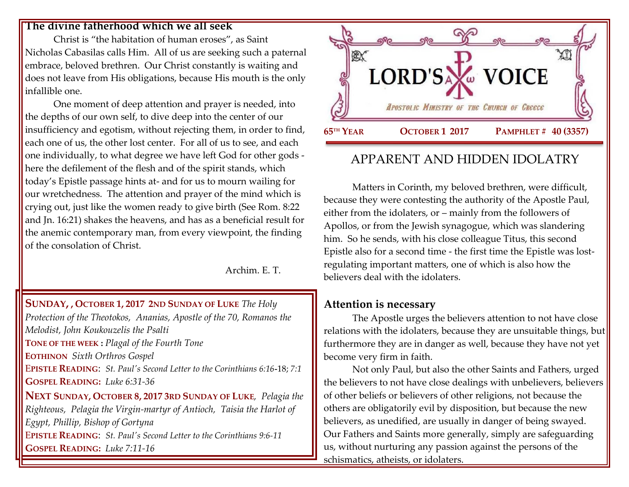#### **The divine fatherhood which we all seek**

Christ is "the habitation of human eroses", as Saint Nicholas Cabasilas calls Him. All of us are seeking such a paternal embrace, beloved brethren. Our Christ constantly is waiting and does not leave from His obligations, because His mouth is the only infallible one.

One moment of deep attention and prayer is needed, into the depths of our own self, to dive deep into the center of our insufficiency and egotism, without rejecting them, in order to find, each one of us, the other lost center. For all of us to see, and each one individually, to what degree we have left God for other gods here the defilement of the flesh and of the spirit stands, which today's Epistle passage hints at- and for us to mourn wailing for our wretchedness. The attention and prayer of the mind which is crying out, just like the women ready to give birth (See Rom. 8:22 and Jn. 16:21) shakes the heavens, and has as a beneficial result for the anemic contemporary man, from every viewpoint, the finding of the consolation of Christ.

Archim. E. T.

### **SUNDAY, , OCTOBER 1, 2017 2ND S[UNDAY OF](https://www.goarch.org/chapel/saints?contentid=1066&PCode=2LS&D=S&date=10/1/2017) LUKE** *The Holy*

*Protection of the Theotokos, Ananias, Apostle of the 70, Romanos the Melodist, John Koukouzelis the Psalti* **TONE OF THE WEEK :** *Plagal of the Fourth Tone* **EOTHINON** *Sixth Orthros Gospel* E**PISTLE READING**: *[St. Paul's Second Letter to the Corinthians 6:16](https://www.goarch.org/chapel/lectionary?type=epistle&code=27&event=940&date=5/28/2017)***-**18; *7:1* **GOSPEL R[EADING](https://www.goarch.org/chapel/lectionary?type=gospel&code=43&event=940&date=5/28/2017):** *Luke 6:31-36* **NEXT SUNDAY, OCTOBER 8, 2017 3RD SUNDAY OF LUKE***, [Pelagia the](https://www.goarch.org/chapel/saints?contentid=232)  [Righteous, P](https://www.goarch.org/chapel/saints?contentid=232)elagia the Virgin-martyr of Antioch, Taisia the Harlot of Egypt, Phillip, Bishop of Gortyna* E**PISTLE READING**: *[St. Paul's Second Letter to the Corinthians 9:6-11](https://www.goarch.org/chapel/lectionary?type=epistle&code=27&event=940&date=5/28/2017)*  **GOSPEL R[EADING](https://www.goarch.org/chapel/lectionary?type=gospel&code=43&event=940&date=5/28/2017):** *Luke 7:11-16*



# APPARENT AND HIDDEN IDOLATRY

Matters in Corinth, my beloved brethren, were difficult, because they were contesting the authority of the Apostle Paul, either from the idolaters, or – mainly from the followers of Apollos, or from the Jewish synagogue, which was slandering him. So he sends, with his close colleague Titus, this second Epistle also for a second time - the first time the Epistle was lostregulating important matters, one of which is also how the believers deal with the idolaters.

## **Attention is necessary**

The Apostle urges the believers attention to not have close relations with the idolaters, because they are unsuitable things, but furthermore they are in danger as well, because they have not yet become very firm in faith.

Not only Paul, but also the other Saints and Fathers, urged the believers to not have close dealings with unbelievers, believers of other beliefs or believers of other religions, not because the others are obligatorily evil by disposition, but because the new believers, as unedified, are usually in danger of being swayed. Our Fathers and Saints more generally, simply are safeguarding us, without nurturing any passion against the persons of the schismatics, atheists, or idolaters.